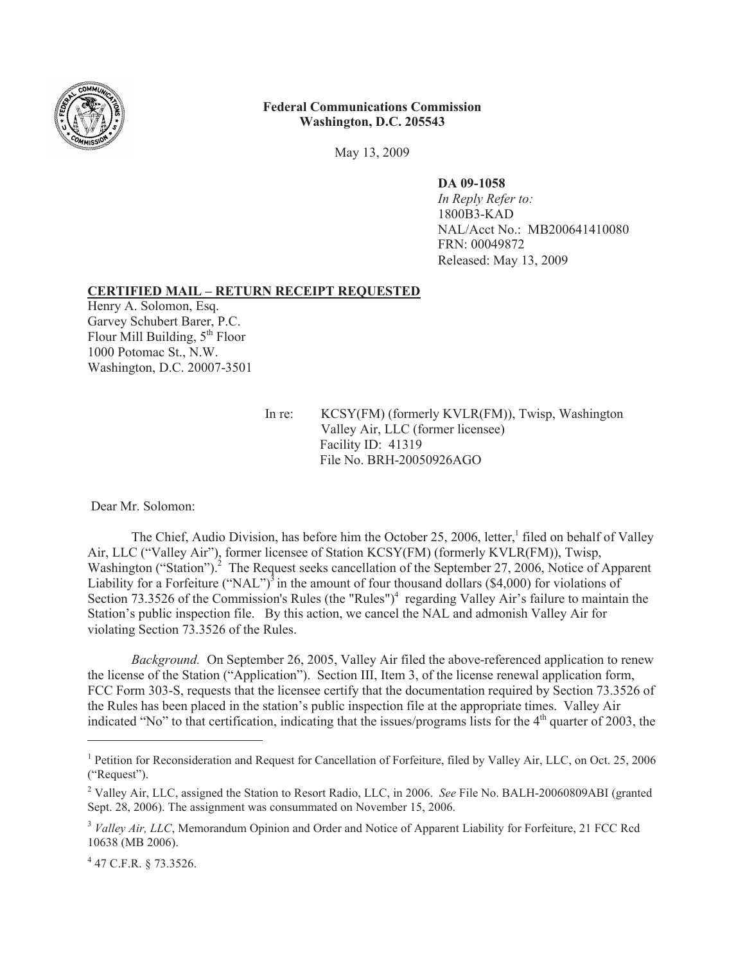

## **Federal Communications Commission Washington, D.C. 205543**

May 13, 2009

**DA 09-1058**

*In Reply Refer to:* 1800B3-KAD NAL/Acct No.: MB200641410080 FRN: 00049872 Released: May 13, 2009

## **CERTIFIED MAIL – RETURN RECEIPT REQUESTED**

Henry A. Solomon, Esq. Garvey Schubert Barer, P.C. Flour Mill Building,  $5<sup>th</sup>$  Floor 1000 Potomac St., N.W. Washington, D.C. 20007-3501

> In re: KCSY(FM) (formerly KVLR(FM)), Twisp, Washington Valley Air, LLC (former licensee) Facility ID: 41319 File No. BRH-20050926AGO

Dear Mr. Solomon:

The Chief, Audio Division, has before him the October 25, 2006, letter,<sup>1</sup> filed on behalf of Valley Air, LLC ("Valley Air"), former licensee of Station KCSY(FM) (formerly KVLR(FM)), Twisp, Washington ("Station").<sup>2</sup> The Request seeks cancellation of the September 27, 2006, Notice of Apparent Liability for a Forfeiture ("NAL")<sup>3</sup> in the amount of four thousand dollars (\$4,000) for violations of Section 73.3526 of the Commission's Rules (the "Rules")<sup>4</sup> regarding Valley Air's failure to maintain the Station's public inspection file. By this action, we cancel the NAL and admonish Valley Air for violating Section 73.3526 of the Rules.

*Background.* On September 26, 2005, Valley Air filed the above-referenced application to renew the license of the Station ("Application"). Section III, Item 3, of the license renewal application form, FCC Form 303-S, requests that the licensee certify that the documentation required by Section 73.3526 of the Rules has been placed in the station's public inspection file at the appropriate times. Valley Air indicated "No" to that certification, indicating that the issues/programs lists for the  $4<sup>th</sup>$  quarter of 2003, the

4 47 C.F.R. § 73.3526.

<sup>&</sup>lt;sup>1</sup> Petition for Reconsideration and Request for Cancellation of Forfeiture, filed by Valley Air, LLC, on Oct. 25, 2006 ("Request").

<sup>2</sup> Valley Air, LLC, assigned the Station to Resort Radio, LLC, in 2006. *See* File No. BALH-20060809ABI (granted Sept. 28, 2006). The assignment was consummated on November 15, 2006.

<sup>&</sup>lt;sup>3</sup> *Valley Air, LLC*, Memorandum Opinion and Order and Notice of Apparent Liability for Forfeiture, 21 FCC Rcd 10638 (MB 2006).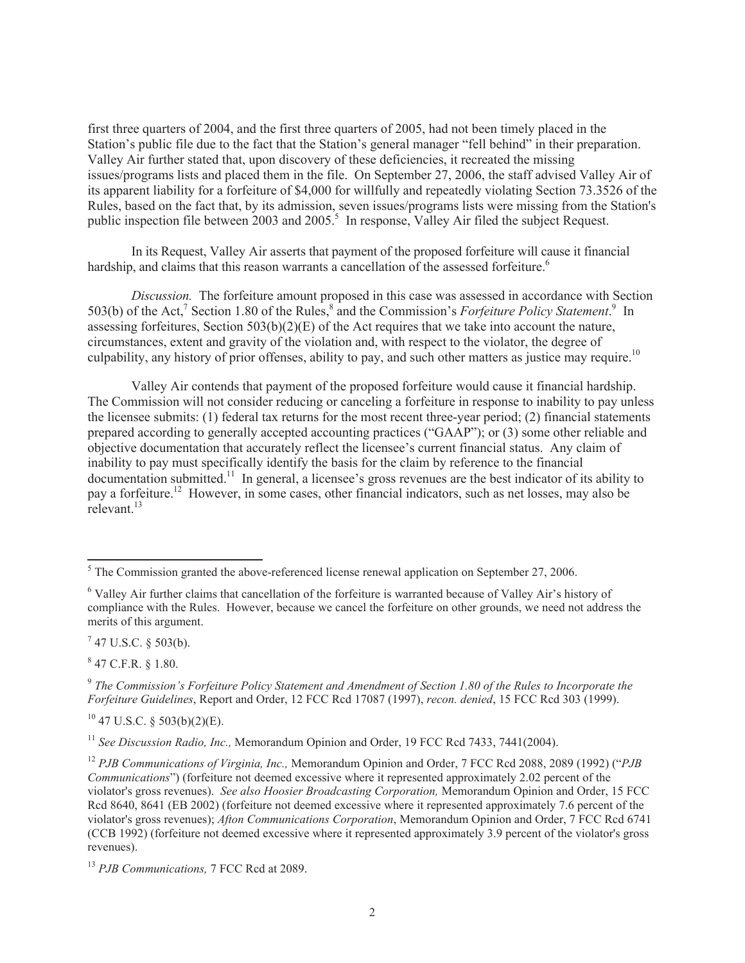first three quarters of 2004, and the first three quarters of 2005, had not been timely placed in the Station's public file due to the fact that the Station's general manager "fell behind" in their preparation. Valley Air further stated that, upon discovery of these deficiencies, it recreated the missing issues/programs lists and placed them in the file. On September 27, 2006, the staff advised Valley Air of its apparent liability for a forfeiture of \$4,000 for willfully and repeatedly violating Section 73.3526 of the Rules, based on the fact that, by its admission, seven issues/programs lists were missing from the Station's public inspection file between 2003 and 2005.<sup>5</sup> In response, Valley Air filed the subject Request.

In its Request, Valley Air asserts that payment of the proposed forfeiture will cause it financial hardship, and claims that this reason warrants a cancellation of the assessed forfeiture.<sup>6</sup>

*Discussion.* The forfeiture amount proposed in this case was assessed in accordance with Section 503(b) of the Act,<sup>7</sup> Section 1.80 of the Rules,<sup>8</sup> and the Commission's *Forfeiture Policy Statement*.<sup>9</sup> In assessing forfeitures, Section  $503(b)(2)(E)$  of the Act requires that we take into account the nature, circumstances, extent and gravity of the violation and, with respect to the violator, the degree of culpability, any history of prior offenses, ability to pay, and such other matters as justice may require.<sup>10</sup>

Valley Air contends that payment of the proposed forfeiture would cause it financial hardship. The Commission will not consider reducing or canceling a forfeiture in response to inability to pay unless the licensee submits: (1) federal tax returns for the most recent three-year period; (2) financial statements prepared according to generally accepted accounting practices ("GAAP"); or (3) some other reliable and objective documentation that accurately reflect the licensee's current financial status. Any claim of inability to pay must specifically identify the basis for the claim by reference to the financial documentation submitted.<sup>11</sup> In general, a licensee's gross revenues are the best indicator of its ability to pay a forfeiture.<sup>12</sup> However, in some cases, other financial indicators, such as net losses, may also be relevant.<sup>13</sup>

 $7$  47 U.S.C. § 503(b).

 $8$  47 C.F.R. § 1.80.

 $10$  47 U.S.C. § 503(b)(2)(E).

<sup>11</sup> *See Discussion Radio, Inc., Memorandum Opinion and Order, 19 FCC Rcd 7433, 7441(2004).* 

 $<sup>5</sup>$  The Commission granted the above-referenced license renewal application on September 27, 2006.</sup>

<sup>6</sup> Valley Air further claims that cancellation of the forfeiture is warranted because of Valley Air's history of compliance with the Rules. However, because we cancel the forfeiture on other grounds, we need not address the merits of this argument.

<sup>9</sup> *The Commission's Forfeiture Policy Statement and Amendment of Section 1.80 of the Rules to Incorporate the Forfeiture Guidelines*, Report and Order, 12 FCC Rcd 17087 (1997), *recon. denied*, 15 FCC Rcd 303 (1999).

<sup>12</sup> *PJB Communications of Virginia, Inc.,* Memorandum Opinion and Order, 7 FCC Rcd 2088, 2089 (1992) ("*PJB Communications*") (forfeiture not deemed excessive where it represented approximately 2.02 percent of the violator's gross revenues). *See also Hoosier Broadcasting Corporation,* Memorandum Opinion and Order, 15 FCC Rcd 8640, 8641 (EB 2002) (forfeiture not deemed excessive where it represented approximately 7.6 percent of the violator's gross revenues); *Afton Communications Corporation*, Memorandum Opinion and Order, 7 FCC Rcd 6741 (CCB 1992) (forfeiture not deemed excessive where it represented approximately 3.9 percent of the violator's gross revenues).

<sup>13</sup> *PJB Communications,* 7 FCC Rcd at 2089.